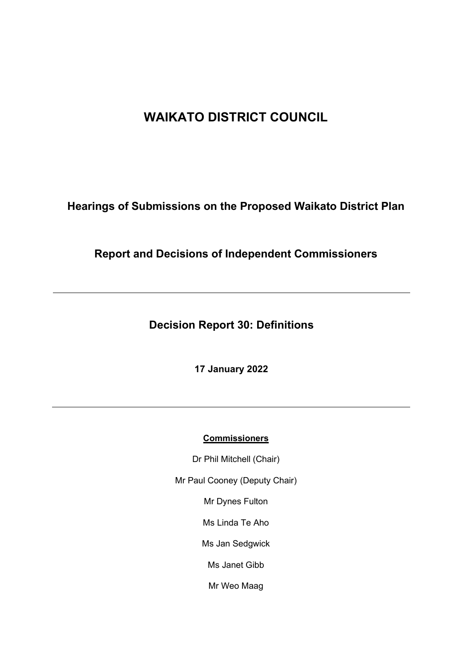# **WAIKATO DISTRICT COUNCIL**

**Hearings of Submissions on the Proposed Waikato District Plan**

**Report and Decisions of Independent Commissioners**

**Decision Report 30: Definitions**

**17 January 2022**

# **Commissioners**

Dr Phil Mitchell (Chair)

Mr Paul Cooney (Deputy Chair)

Mr Dynes Fulton

Ms Linda Te Aho

Ms Jan Sedgwick

Ms Janet Gibb

Mr Weo Maag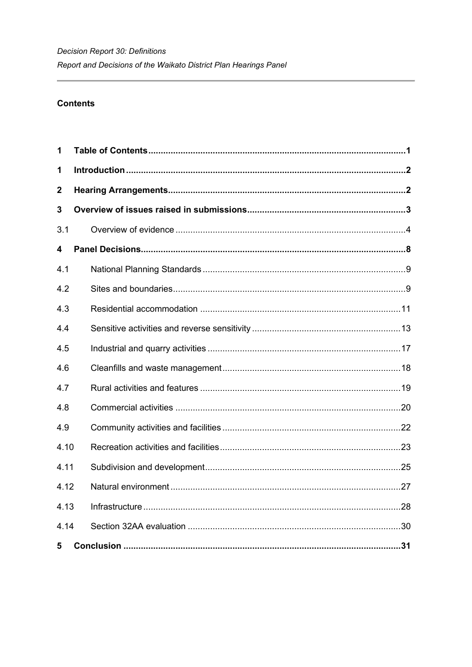# **Contents**

<span id="page-1-0"></span>

| 1                |  |  |  |
|------------------|--|--|--|
| 1                |  |  |  |
| $\boldsymbol{2}$ |  |  |  |
| 3                |  |  |  |
| 3.1              |  |  |  |
| 4                |  |  |  |
| 4.1              |  |  |  |
| 4.2              |  |  |  |
| 4.3              |  |  |  |
| 4.4              |  |  |  |
| 4.5              |  |  |  |
| 4.6              |  |  |  |
| 4.7              |  |  |  |
| 4.8              |  |  |  |
| 4.9              |  |  |  |
| 4.10             |  |  |  |
| 4.11             |  |  |  |
| 4.12             |  |  |  |
| 4.13             |  |  |  |
| 4.14             |  |  |  |
| 5                |  |  |  |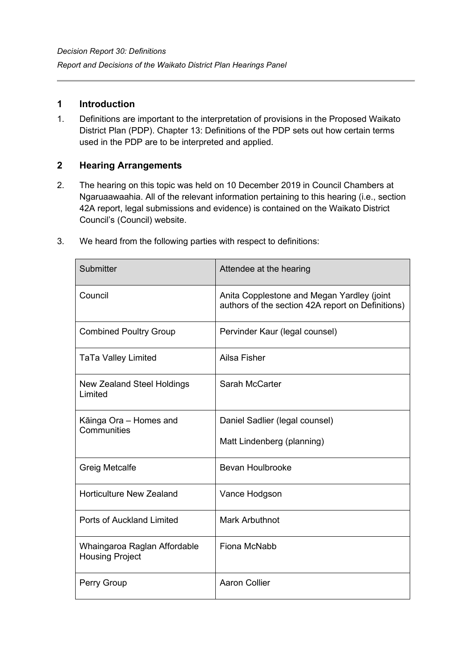# <span id="page-2-0"></span>**1 Introduction**

1. Definitions are important to the interpretation of provisions in the Proposed Waikato District Plan (PDP). Chapter 13: Definitions of the PDP sets out how certain terms used in the PDP are to be interpreted and applied.

# <span id="page-2-1"></span>**2 Hearing Arrangements**

2. The hearing on this topic was held on 10 December 2019 in Council Chambers at Ngaruaawaahia. All of the relevant information pertaining to this hearing (i.e., section 42A report, legal submissions and evidence) is contained on the Waikato District Council's (Council) website.

| Submitter                                              | Attendee at the hearing                                                                         |
|--------------------------------------------------------|-------------------------------------------------------------------------------------------------|
| Council                                                | Anita Copplestone and Megan Yardley (joint<br>authors of the section 42A report on Definitions) |
| <b>Combined Poultry Group</b>                          | Pervinder Kaur (legal counsel)                                                                  |
| <b>TaTa Valley Limited</b>                             | Ailsa Fisher                                                                                    |
| New Zealand Steel Holdings<br>Limited                  | Sarah McCarter                                                                                  |
| Kāinga Ora – Homes and<br>Communities                  | Daniel Sadlier (legal counsel)                                                                  |
|                                                        | Matt Lindenberg (planning)                                                                      |
| <b>Greig Metcalfe</b>                                  | <b>Bevan Houlbrooke</b>                                                                         |
| <b>Horticulture New Zealand</b>                        | Vance Hodgson                                                                                   |
| <b>Ports of Auckland Limited</b>                       | <b>Mark Arbuthnot</b>                                                                           |
| Whaingaroa Raglan Affordable<br><b>Housing Project</b> | Fiona McNabb                                                                                    |
| Perry Group                                            | <b>Aaron Collier</b>                                                                            |

3. We heard from the following parties with respect to definitions: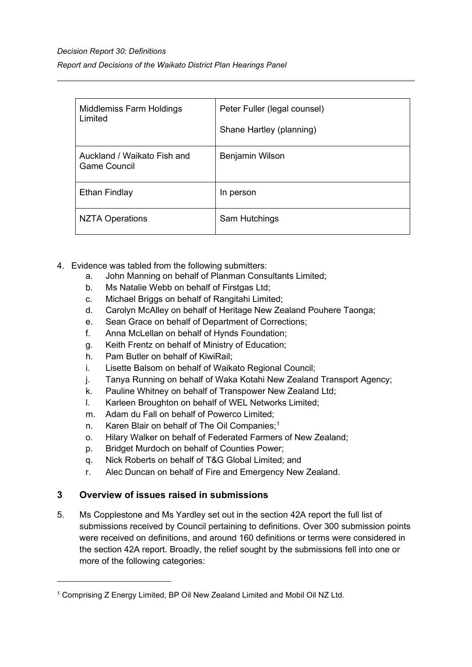# *Decision Report 30: Definitions Report and Decisions of the Waikato District Plan Hearings Panel*

| <b>Middlemiss Farm Holdings</b><br>Limited  | Peter Fuller (legal counsel)<br>Shane Hartley (planning) |
|---------------------------------------------|----------------------------------------------------------|
| Auckland / Waikato Fish and<br>Game Council | Benjamin Wilson                                          |
| Ethan Findlay                               | In person                                                |
| NZTA Operations                             | Sam Hutchings                                            |

- 4. Evidence was tabled from the following submitters:
	- a. John Manning on behalf of Planman Consultants Limited;
	- b. Ms Natalie Webb on behalf of Firstgas Ltd;
	- c. Michael Briggs on behalf of Rangitahi Limited;
	- d. Carolyn McAlley on behalf of Heritage New Zealand Pouhere Taonga;
	- e. Sean Grace on behalf of Department of Corrections;
	- f. Anna McLellan on behalf of Hynds Foundation;
	- g. Keith Frentz on behalf of Ministry of Education;
	- h. Pam Butler on behalf of KiwiRail;
	- i. Lisette Balsom on behalf of Waikato Regional Council;
	- j. Tanya Running on behalf of Waka Kotahi New Zealand Transport Agency;
	- k. Pauline Whitney on behalf of Transpower New Zealand Ltd;
	- l. Karleen Broughton on behalf of WEL Networks Limited;
	- m. Adam du Fall on behalf of Powerco Limited;
	- n. Karen Blair on behalf of The Oil Companies;<sup>[1](#page-3-1)</sup>
	- o. Hilary Walker on behalf of Federated Farmers of New Zealand;
	- p. Bridget Murdoch on behalf of Counties Power;
	- q. Nick Roberts on behalf of T&G Global Limited; and
	- r. Alec Duncan on behalf of Fire and Emergency New Zealand.

# <span id="page-3-0"></span>**3 Overview of issues raised in submissions**

5. Ms Copplestone and Ms Yardley set out in the section 42A report the full list of submissions received by Council pertaining to definitions. Over 300 submission points were received on definitions, and around 160 definitions or terms were considered in the section 42A report. Broadly, the relief sought by the submissions fell into one or more of the following categories:

<span id="page-3-1"></span><sup>1</sup> Comprising Z Energy Limited, BP Oil New Zealand Limited and Mobil Oil NZ Ltd.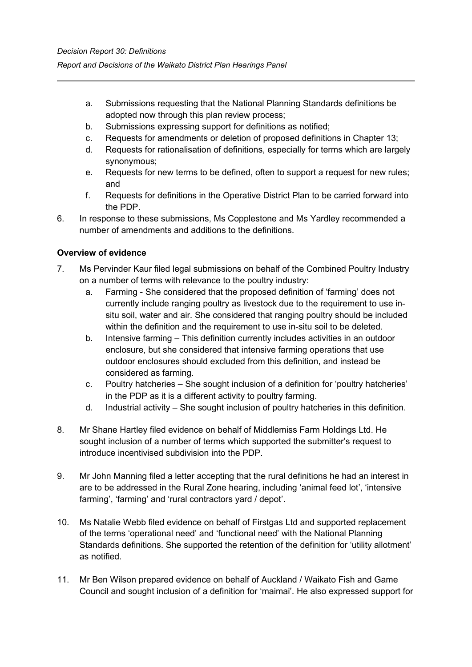- a. Submissions requesting that the National Planning Standards definitions be adopted now through this plan review process;
- b. Submissions expressing support for definitions as notified;
- c. Requests for amendments or deletion of proposed definitions in Chapter 13;
- d. Requests for rationalisation of definitions, especially for terms which are largely synonymous;
- e. Requests for new terms to be defined, often to support a request for new rules; and
- f. Requests for definitions in the Operative District Plan to be carried forward into the PDP.
- 6. In response to these submissions, Ms Copplestone and Ms Yardley recommended a number of amendments and additions to the definitions.

# <span id="page-4-0"></span>**Overview of evidence**

- 7. Ms Pervinder Kaur filed legal submissions on behalf of the Combined Poultry Industry on a number of terms with relevance to the poultry industry:
	- a. Farming She considered that the proposed definition of 'farming' does not currently include ranging poultry as livestock due to the requirement to use insitu soil, water and air. She considered that ranging poultry should be included within the definition and the requirement to use in-situ soil to be deleted.
	- b. Intensive farming This definition currently includes activities in an outdoor enclosure, but she considered that intensive farming operations that use outdoor enclosures should excluded from this definition, and instead be considered as farming.
	- c. Poultry hatcheries She sought inclusion of a definition for 'poultry hatcheries' in the PDP as it is a different activity to poultry farming.
	- d. Industrial activity She sought inclusion of poultry hatcheries in this definition.
- 8. Mr Shane Hartley filed evidence on behalf of Middlemiss Farm Holdings Ltd. He sought inclusion of a number of terms which supported the submitter's request to introduce incentivised subdivision into the PDP.
- 9. Mr John Manning filed a letter accepting that the rural definitions he had an interest in are to be addressed in the Rural Zone hearing, including 'animal feed lot', 'intensive farming', 'farming' and 'rural contractors yard / depot'.
- 10. Ms Natalie Webb filed evidence on behalf of Firstgas Ltd and supported replacement of the terms 'operational need' and 'functional need' with the National Planning Standards definitions. She supported the retention of the definition for 'utility allotment' as notified.
- 11. Mr Ben Wilson prepared evidence on behalf of Auckland / Waikato Fish and Game Council and sought inclusion of a definition for 'maimai'. He also expressed support for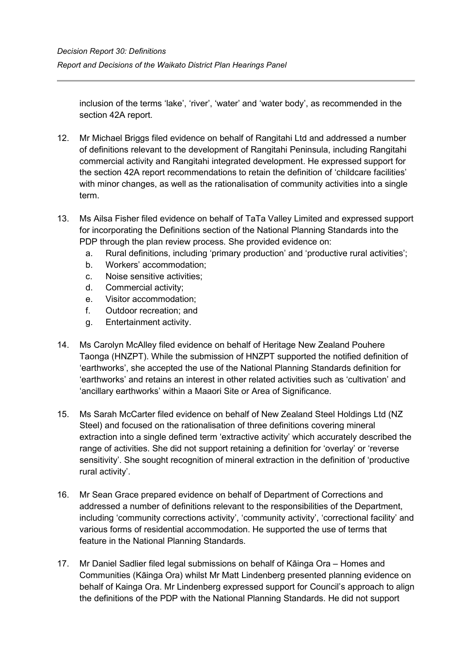inclusion of the terms 'lake', 'river', 'water' and 'water body', as recommended in the section 42A report.

- 12. Mr Michael Briggs filed evidence on behalf of Rangitahi Ltd and addressed a number of definitions relevant to the development of Rangitahi Peninsula, including Rangitahi commercial activity and Rangitahi integrated development. He expressed support for the section 42A report recommendations to retain the definition of 'childcare facilities' with minor changes, as well as the rationalisation of community activities into a single term.
- 13. Ms Ailsa Fisher filed evidence on behalf of TaTa Valley Limited and expressed support for incorporating the Definitions section of the National Planning Standards into the PDP through the plan review process. She provided evidence on:
	- a. Rural definitions, including 'primary production' and 'productive rural activities';
	- b. Workers' accommodation;
	- c. Noise sensitive activities;
	- d. Commercial activity;
	- e. Visitor accommodation;
	- f. Outdoor recreation; and
	- g. Entertainment activity.
- 14. Ms Carolyn McAlley filed evidence on behalf of Heritage New Zealand Pouhere Taonga (HNZPT). While the submission of HNZPT supported the notified definition of 'earthworks', she accepted the use of the National Planning Standards definition for 'earthworks' and retains an interest in other related activities such as 'cultivation' and 'ancillary earthworks' within a Maaori Site or Area of Significance.
- 15. Ms Sarah McCarter filed evidence on behalf of New Zealand Steel Holdings Ltd (NZ Steel) and focused on the rationalisation of three definitions covering mineral extraction into a single defined term 'extractive activity' which accurately described the range of activities. She did not support retaining a definition for 'overlay' or 'reverse sensitivity'. She sought recognition of mineral extraction in the definition of 'productive rural activity'.
- 16. Mr Sean Grace prepared evidence on behalf of Department of Corrections and addressed a number of definitions relevant to the responsibilities of the Department, including 'community corrections activity', 'community activity', 'correctional facility' and various forms of residential accommodation. He supported the use of terms that feature in the National Planning Standards.
- 17. Mr Daniel Sadlier filed legal submissions on behalf of Kāinga Ora Homes and Communities (Kāinga Ora) whilst Mr Matt Lindenberg presented planning evidence on behalf of Kainga Ora. Mr Lindenberg expressed support for Council's approach to align the definitions of the PDP with the National Planning Standards. He did not support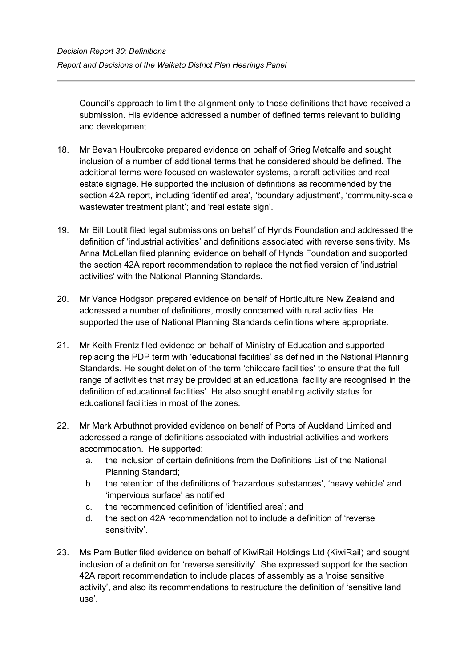Council's approach to limit the alignment only to those definitions that have received a submission. His evidence addressed a number of defined terms relevant to building and development.

- 18. Mr Bevan Houlbrooke prepared evidence on behalf of Grieg Metcalfe and sought inclusion of a number of additional terms that he considered should be defined. The additional terms were focused on wastewater systems, aircraft activities and real estate signage. He supported the inclusion of definitions as recommended by the section 42A report, including 'identified area', 'boundary adjustment', 'community-scale wastewater treatment plant'; and 'real estate sign'.
- 19. Mr Bill Loutit filed legal submissions on behalf of Hynds Foundation and addressed the definition of 'industrial activities' and definitions associated with reverse sensitivity. Ms Anna McLellan filed planning evidence on behalf of Hynds Foundation and supported the section 42A report recommendation to replace the notified version of 'industrial activities' with the National Planning Standards.
- 20. Mr Vance Hodgson prepared evidence on behalf of Horticulture New Zealand and addressed a number of definitions, mostly concerned with rural activities. He supported the use of National Planning Standards definitions where appropriate.
- 21. Mr Keith Frentz filed evidence on behalf of Ministry of Education and supported replacing the PDP term with 'educational facilities' as defined in the National Planning Standards. He sought deletion of the term 'childcare facilities' to ensure that the full range of activities that may be provided at an educational facility are recognised in the definition of educational facilities'. He also sought enabling activity status for educational facilities in most of the zones.
- 22. Mr Mark Arbuthnot provided evidence on behalf of Ports of Auckland Limited and addressed a range of definitions associated with industrial activities and workers accommodation. He supported:
	- a. the inclusion of certain definitions from the Definitions List of the National Planning Standard;
	- b. the retention of the definitions of 'hazardous substances', 'heavy vehicle' and 'impervious surface' as notified;
	- c. the recommended definition of 'identified area'; and
	- d. the section 42A recommendation not to include a definition of 'reverse sensitivity'.
- 23. Ms Pam Butler filed evidence on behalf of KiwiRail Holdings Ltd (KiwiRail) and sought inclusion of a definition for 'reverse sensitivity'. She expressed support for the section 42A report recommendation to include places of assembly as a 'noise sensitive activity', and also its recommendations to restructure the definition of 'sensitive land use'.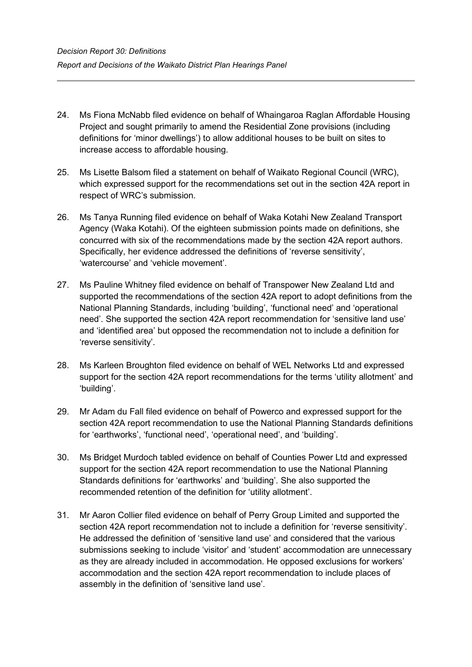- 24. Ms Fiona McNabb filed evidence on behalf of Whaingaroa Raglan Affordable Housing Project and sought primarily to amend the Residential Zone provisions (including definitions for 'minor dwellings') to allow additional houses to be built on sites to increase access to affordable housing.
- 25. Ms Lisette Balsom filed a statement on behalf of Waikato Regional Council (WRC), which expressed support for the recommendations set out in the section 42A report in respect of WRC's submission.
- 26. Ms Tanya Running filed evidence on behalf of Waka Kotahi New Zealand Transport Agency (Waka Kotahi). Of the eighteen submission points made on definitions, she concurred with six of the recommendations made by the section 42A report authors. Specifically, her evidence addressed the definitions of 'reverse sensitivity', 'watercourse' and 'vehicle movement'.
- 27. Ms Pauline Whitney filed evidence on behalf of Transpower New Zealand Ltd and supported the recommendations of the section 42A report to adopt definitions from the National Planning Standards, including 'building', 'functional need' and 'operational need'. She supported the section 42A report recommendation for 'sensitive land use' and 'identified area' but opposed the recommendation not to include a definition for 'reverse sensitivity'.
- 28. Ms Karleen Broughton filed evidence on behalf of WEL Networks Ltd and expressed support for the section 42A report recommendations for the terms 'utility allotment' and 'building'.
- 29. Mr Adam du Fall filed evidence on behalf of Powerco and expressed support for the section 42A report recommendation to use the National Planning Standards definitions for 'earthworks', 'functional need', 'operational need', and 'building'.
- 30. Ms Bridget Murdoch tabled evidence on behalf of Counties Power Ltd and expressed support for the section 42A report recommendation to use the National Planning Standards definitions for 'earthworks' and 'building'. She also supported the recommended retention of the definition for 'utility allotment'.
- 31. Mr Aaron Collier filed evidence on behalf of Perry Group Limited and supported the section 42A report recommendation not to include a definition for 'reverse sensitivity'. He addressed the definition of 'sensitive land use' and considered that the various submissions seeking to include 'visitor' and 'student' accommodation are unnecessary as they are already included in accommodation. He opposed exclusions for workers' accommodation and the section 42A report recommendation to include places of assembly in the definition of 'sensitive land use'.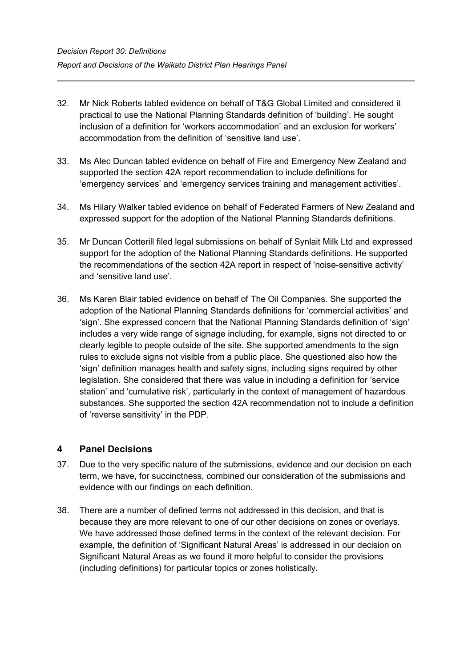- 32. Mr Nick Roberts tabled evidence on behalf of T&G Global Limited and considered it practical to use the National Planning Standards definition of 'building'. He sought inclusion of a definition for 'workers accommodation' and an exclusion for workers' accommodation from the definition of 'sensitive land use'.
- 33. Ms Alec Duncan tabled evidence on behalf of Fire and Emergency New Zealand and supported the section 42A report recommendation to include definitions for 'emergency services' and 'emergency services training and management activities'.
- 34. Ms Hilary Walker tabled evidence on behalf of Federated Farmers of New Zealand and expressed support for the adoption of the National Planning Standards definitions.
- 35. Mr Duncan Cotterill filed legal submissions on behalf of Synlait Milk Ltd and expressed support for the adoption of the National Planning Standards definitions. He supported the recommendations of the section 42A report in respect of 'noise-sensitive activity' and 'sensitive land use'.
- 36. Ms Karen Blair tabled evidence on behalf of The Oil Companies. She supported the adoption of the National Planning Standards definitions for 'commercial activities' and 'sign'. She expressed concern that the National Planning Standards definition of 'sign' includes a very wide range of signage including, for example, signs not directed to or clearly legible to people outside of the site. She supported amendments to the sign rules to exclude signs not visible from a public place. She questioned also how the 'sign' definition manages health and safety signs, including signs required by other legislation. She considered that there was value in including a definition for 'service station' and 'cumulative risk', particularly in the context of management of hazardous substances. She supported the section 42A recommendation not to include a definition of 'reverse sensitivity' in the PDP.

# <span id="page-8-0"></span>**4 Panel Decisions**

- 37. Due to the very specific nature of the submissions, evidence and our decision on each term, we have, for succinctness, combined our consideration of the submissions and evidence with our findings on each definition.
- 38. There are a number of defined terms not addressed in this decision, and that is because they are more relevant to one of our other decisions on zones or overlays. We have addressed those defined terms in the context of the relevant decision. For example, the definition of 'Significant Natural Areas' is addressed in our decision on Significant Natural Areas as we found it more helpful to consider the provisions (including definitions) for particular topics or zones holistically.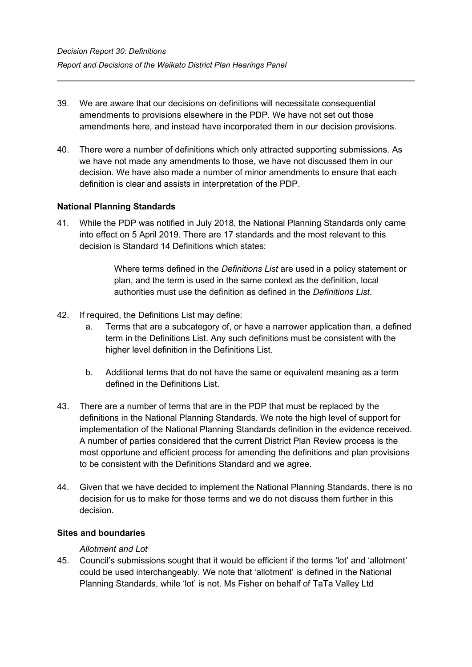- 39. We are aware that our decisions on definitions will necessitate consequential amendments to provisions elsewhere in the PDP. We have not set out those amendments here, and instead have incorporated them in our decision provisions.
- 40. There were a number of definitions which only attracted supporting submissions. As we have not made any amendments to those, we have not discussed them in our decision. We have also made a number of minor amendments to ensure that each definition is clear and assists in interpretation of the PDP.

# <span id="page-9-0"></span>**National Planning Standards**

41. While the PDP was notified in July 2018, the National Planning Standards only came into effect on 5 April 2019. There are 17 standards and the most relevant to this decision is Standard 14 Definitions which states:

> Where terms defined in the *Definitions List* are used in a policy statement or plan, and the term is used in the same context as the definition, local authorities must use the definition as defined in the *Definitions List*.

- 42. If required, the Definitions List may define:
	- a. Terms that are a subcategory of, or have a narrower application than, a defined term in the Definitions List. Any such definitions must be consistent with the higher level definition in the Definitions List.
	- b. Additional terms that do not have the same or equivalent meaning as a term defined in the Definitions List.
- 43. There are a number of terms that are in the PDP that must be replaced by the definitions in the National Planning Standards. We note the high level of support for implementation of the National Planning Standards definition in the evidence received. A number of parties considered that the current District Plan Review process is the most opportune and efficient process for amending the definitions and plan provisions to be consistent with the Definitions Standard and we agree.
- 44. Given that we have decided to implement the National Planning Standards, there is no decision for us to make for those terms and we do not discuss them further in this decision.

# <span id="page-9-1"></span>**Sites and boundaries**

## *Allotment and Lot*

45. Council's submissions sought that it would be efficient if the terms 'lot' and 'allotment' could be used interchangeably. We note that 'allotment' is defined in the National Planning Standards, while 'lot' is not. Ms Fisher on behalf of TaTa Valley Ltd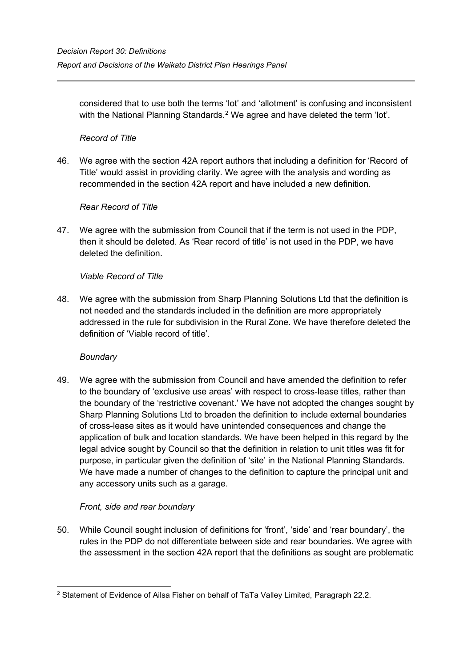considered that to use both the terms 'lot' and 'allotment' is confusing and inconsistent with the National Planning Standards.<sup>[2](#page-10-0)</sup> We agree and have deleted the term 'lot'.

# *Record of Title*

46. We agree with the section 42A report authors that including a definition for 'Record of Title' would assist in providing clarity. We agree with the analysis and wording as recommended in the section 42A report and have included a new definition.

# *Rear Record of Title*

47. We agree with the submission from Council that if the term is not used in the PDP, then it should be deleted. As 'Rear record of title' is not used in the PDP, we have deleted the definition.

# *Viable Record of Title*

48. We agree with the submission from Sharp Planning Solutions Ltd that the definition is not needed and the standards included in the definition are more appropriately addressed in the rule for subdivision in the Rural Zone. We have therefore deleted the definition of 'Viable record of title'.

## *Boundary*

49. We agree with the submission from Council and have amended the definition to refer to the boundary of 'exclusive use areas' with respect to cross-lease titles, rather than the boundary of the 'restrictive covenant.' We have not adopted the changes sought by Sharp Planning Solutions Ltd to broaden the definition to include external boundaries of cross-lease sites as it would have unintended consequences and change the application of bulk and location standards. We have been helped in this regard by the legal advice sought by Council so that the definition in relation to unit titles was fit for purpose, in particular given the definition of 'site' in the National Planning Standards. We have made a number of changes to the definition to capture the principal unit and any accessory units such as a garage.

# *Front, side and rear boundary*

50. While Council sought inclusion of definitions for 'front', 'side' and 'rear boundary', the rules in the PDP do not differentiate between side and rear boundaries. We agree with the assessment in the section 42A report that the definitions as sought are problematic

<span id="page-10-0"></span><sup>2</sup> Statement of Evidence of Ailsa Fisher on behalf of TaTa Valley Limited, Paragraph 22.2.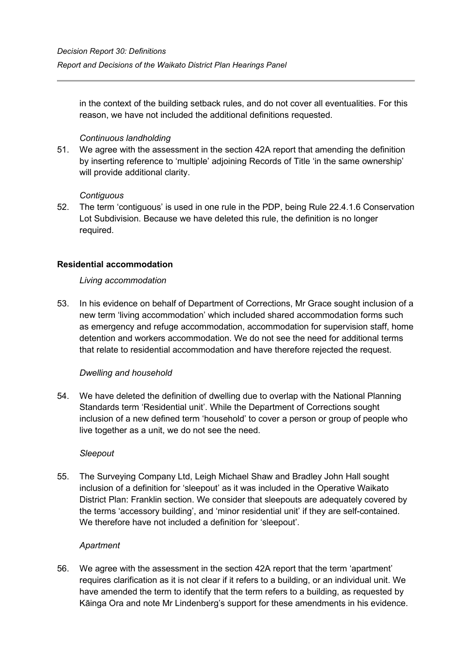in the context of the building setback rules, and do not cover all eventualities. For this reason, we have not included the additional definitions requested.

# *Continuous landholding*

51. We agree with the assessment in the section 42A report that amending the definition by inserting reference to 'multiple' adjoining Records of Title 'in the same ownership' will provide additional clarity.

## *Contiguous*

52. The term 'contiguous' is used in one rule in the PDP, being Rule 22.4.1.6 Conservation Lot Subdivision. Because we have deleted this rule, the definition is no longer required.

# <span id="page-11-0"></span>**Residential accommodation**

## *Living accommodation*

53. In his evidence on behalf of Department of Corrections, Mr Grace sought inclusion of a new term 'living accommodation' which included shared accommodation forms such as emergency and refuge accommodation, accommodation for supervision staff, home detention and workers accommodation. We do not see the need for additional terms that relate to residential accommodation and have therefore rejected the request.

# *Dwelling and household*

54. We have deleted the definition of dwelling due to overlap with the National Planning Standards term 'Residential unit'. While the Department of Corrections sought inclusion of a new defined term 'household' to cover a person or group of people who live together as a unit, we do not see the need.

## *Sleepout*

55. The Surveying Company Ltd, Leigh Michael Shaw and Bradley John Hall sought inclusion of a definition for 'sleepout' as it was included in the Operative Waikato District Plan: Franklin section. We consider that sleepouts are adequately covered by the terms 'accessory building', and 'minor residential unit' if they are self-contained. We therefore have not included a definition for 'sleepout'.

## *Apartment*

56. We agree with the assessment in the section 42A report that the term 'apartment' requires clarification as it is not clear if it refers to a building, or an individual unit. We have amended the term to identify that the term refers to a building, as requested by Kāinga Ora and note Mr Lindenberg's support for these amendments in his evidence.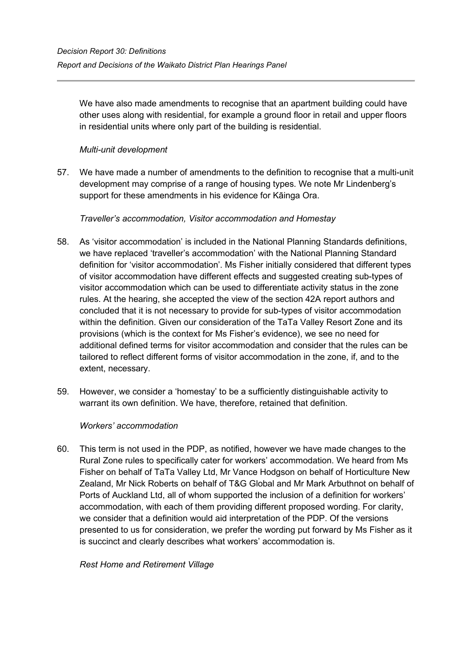We have also made amendments to recognise that an apartment building could have other uses along with residential, for example a ground floor in retail and upper floors in residential units where only part of the building is residential.

# *Multi-unit development*

57. We have made a number of amendments to the definition to recognise that a multi-unit development may comprise of a range of housing types. We note Mr Lindenberg's support for these amendments in his evidence for Kāinga Ora.

# *Traveller's accommodation, Visitor accommodation and Homestay*

- 58. As 'visitor accommodation' is included in the National Planning Standards definitions, we have replaced 'traveller's accommodation' with the National Planning Standard definition for 'visitor accommodation'. Ms Fisher initially considered that different types of visitor accommodation have different effects and suggested creating sub-types of visitor accommodation which can be used to differentiate activity status in the zone rules. At the hearing, she accepted the view of the section 42A report authors and concluded that it is not necessary to provide for sub-types of visitor accommodation within the definition. Given our consideration of the TaTa Valley Resort Zone and its provisions (which is the context for Ms Fisher's evidence), we see no need for additional defined terms for visitor accommodation and consider that the rules can be tailored to reflect different forms of visitor accommodation in the zone, if, and to the extent, necessary.
- 59. However, we consider a 'homestay' to be a sufficiently distinguishable activity to warrant its own definition. We have, therefore, retained that definition.

# *Workers' accommodation*

60. This term is not used in the PDP, as notified, however we have made changes to the Rural Zone rules to specifically cater for workers' accommodation. We heard from Ms Fisher on behalf of TaTa Valley Ltd, Mr Vance Hodgson on behalf of Horticulture New Zealand, Mr Nick Roberts on behalf of T&G Global and Mr Mark Arbuthnot on behalf of Ports of Auckland Ltd, all of whom supported the inclusion of a definition for workers' accommodation, with each of them providing different proposed wording. For clarity, we consider that a definition would aid interpretation of the PDP. Of the versions presented to us for consideration, we prefer the wording put forward by Ms Fisher as it is succinct and clearly describes what workers' accommodation is.

*Rest Home and Retirement Village*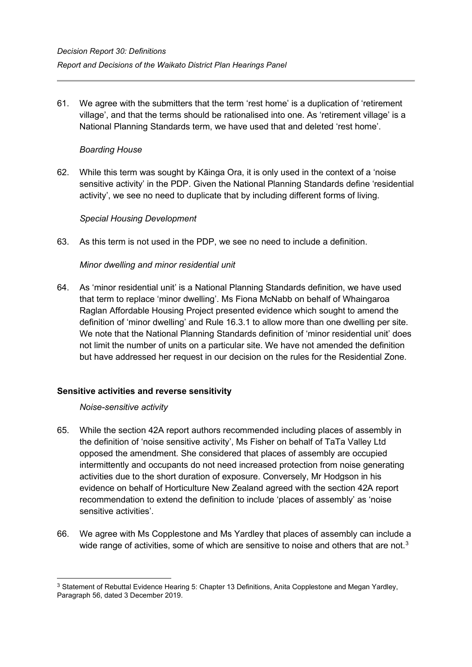61. We agree with the submitters that the term 'rest home' is a duplication of 'retirement village', and that the terms should be rationalised into one. As 'retirement village' is a National Planning Standards term, we have used that and deleted 'rest home'.

# *Boarding House*

62. While this term was sought by Kāinga Ora, it is only used in the context of a 'noise sensitive activity' in the PDP. Given the National Planning Standards define 'residential activity', we see no need to duplicate that by including different forms of living.

## *Special Housing Development*

63. As this term is not used in the PDP, we see no need to include a definition.

## *Minor dwelling and minor residential unit*

64. As 'minor residential unit' is a National Planning Standards definition, we have used that term to replace 'minor dwelling'. Ms Fiona McNabb on behalf of Whaingaroa Raglan Affordable Housing Project presented evidence which sought to amend the definition of 'minor dwelling' and Rule 16.3.1 to allow more than one dwelling per site. We note that the National Planning Standards definition of 'minor residential unit' does not limit the number of units on a particular site. We have not amended the definition but have addressed her request in our decision on the rules for the Residential Zone.

## <span id="page-13-0"></span>**Sensitive activities and reverse sensitivity**

*Noise-sensitive activity*

- 65. While the section 42A report authors recommended including places of assembly in the definition of 'noise sensitive activity', Ms Fisher on behalf of TaTa Valley Ltd opposed the amendment. She considered that places of assembly are occupied intermittently and occupants do not need increased protection from noise generating activities due to the short duration of exposure. Conversely, Mr Hodgson in his evidence on behalf of Horticulture New Zealand agreed with the section 42A report recommendation to extend the definition to include 'places of assembly' as 'noise sensitive activities'.
- 66. We agree with Ms Copplestone and Ms Yardley that places of assembly can include a wide range of activities, some of which are sensitive to noise and others that are not.<sup>[3](#page-13-1)</sup>

<span id="page-13-1"></span><sup>&</sup>lt;sup>3</sup> Statement of Rebuttal Evidence Hearing 5: Chapter 13 Definitions, Anita Copplestone and Megan Yardley, Paragraph 56, dated 3 December 2019.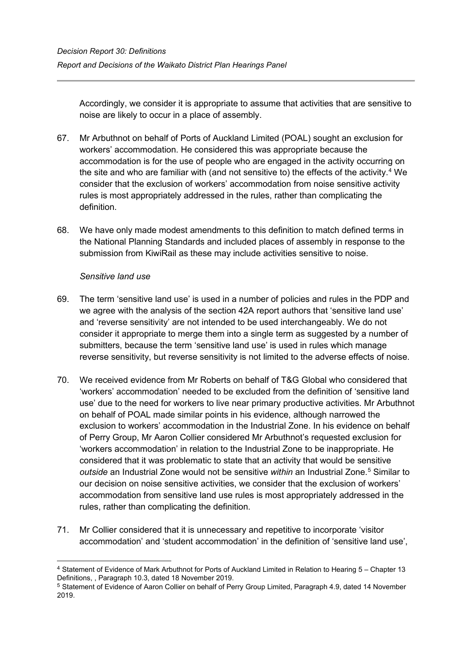Accordingly, we consider it is appropriate to assume that activities that are sensitive to noise are likely to occur in a place of assembly.

- 67. Mr Arbuthnot on behalf of Ports of Auckland Limited (POAL) sought an exclusion for workers' accommodation. He considered this was appropriate because the accommodation is for the use of people who are engaged in the activity occurring on the site and who are familiar with (and not sensitive to) the effects of the activity. [4](#page-14-0) We consider that the exclusion of workers' accommodation from noise sensitive activity rules is most appropriately addressed in the rules, rather than complicating the definition.
- 68. We have only made modest amendments to this definition to match defined terms in the National Planning Standards and included places of assembly in response to the submission from KiwiRail as these may include activities sensitive to noise.

## *Sensitive land use*

- 69. The term 'sensitive land use' is used in a number of policies and rules in the PDP and we agree with the analysis of the section 42A report authors that 'sensitive land use' and 'reverse sensitivity' are not intended to be used interchangeably. We do not consider it appropriate to merge them into a single term as suggested by a number of submitters, because the term 'sensitive land use' is used in rules which manage reverse sensitivity, but reverse sensitivity is not limited to the adverse effects of noise.
- 70. We received evidence from Mr Roberts on behalf of T&G Global who considered that 'workers' accommodation' needed to be excluded from the definition of 'sensitive land use' due to the need for workers to live near primary productive activities. Mr Arbuthnot on behalf of POAL made similar points in his evidence, although narrowed the exclusion to workers' accommodation in the Industrial Zone. In his evidence on behalf of Perry Group, Mr Aaron Collier considered Mr Arbuthnot's requested exclusion for 'workers accommodation' in relation to the Industrial Zone to be inappropriate. He considered that it was problematic to state that an activity that would be sensitive *outside* an Industrial Zone would not be sensitive *within* an Industrial Zone.[5](#page-14-1) Similar to our decision on noise sensitive activities, we consider that the exclusion of workers' accommodation from sensitive land use rules is most appropriately addressed in the rules, rather than complicating the definition.
- 71. Mr Collier considered that it is unnecessary and repetitive to incorporate 'visitor accommodation' and 'student accommodation' in the definition of 'sensitive land use',

<span id="page-14-0"></span><sup>4</sup> Statement of Evidence of Mark Arbuthnot for Ports of Auckland Limited in Relation to Hearing 5 – Chapter 13 Definitions, , Paragraph 10.3, dated 18 November 2019.

<span id="page-14-1"></span><sup>5</sup> Statement of Evidence of Aaron Collier on behalf of Perry Group Limited, Paragraph 4.9, dated 14 November 2019.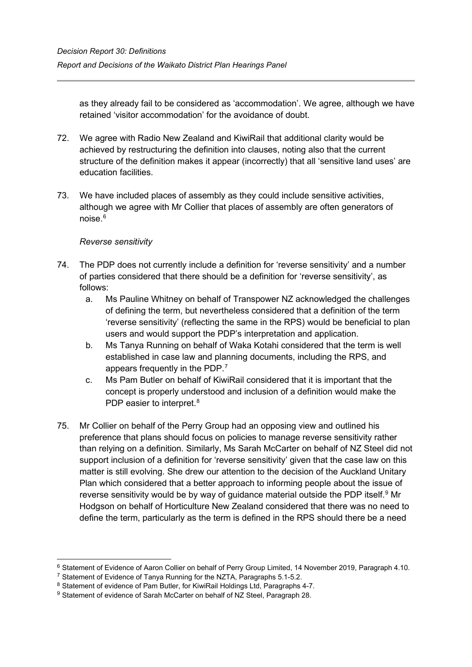as they already fail to be considered as 'accommodation'. We agree, although we have retained 'visitor accommodation' for the avoidance of doubt.

- 72. We agree with Radio New Zealand and KiwiRail that additional clarity would be achieved by restructuring the definition into clauses, noting also that the current structure of the definition makes it appear (incorrectly) that all 'sensitive land uses' are education facilities.
- 73. We have included places of assembly as they could include sensitive activities, although we agree with Mr Collier that places of assembly are often generators of noise.[6](#page-15-0)

# *Reverse sensitivity*

- 74. The PDP does not currently include a definition for 'reverse sensitivity' and a number of parties considered that there should be a definition for 'reverse sensitivity', as follows:
	- a. Ms Pauline Whitney on behalf of Transpower NZ acknowledged the challenges of defining the term, but nevertheless considered that a definition of the term 'reverse sensitivity' (reflecting the same in the RPS) would be beneficial to plan users and would support the PDP's interpretation and application.
	- b. Ms Tanya Running on behalf of Waka Kotahi considered that the term is well established in case law and planning documents, including the RPS, and appears frequently in the PDP.[7](#page-15-1)
	- c. Ms Pam Butler on behalf of KiwiRail considered that it is important that the concept is properly understood and inclusion of a definition would make the PDP easier to interpret.<sup>[8](#page-15-2)</sup>
- 75. Mr Collier on behalf of the Perry Group had an opposing view and outlined his preference that plans should focus on policies to manage reverse sensitivity rather than relying on a definition. Similarly, Ms Sarah McCarter on behalf of NZ Steel did not support inclusion of a definition for 'reverse sensitivity' given that the case law on this matter is still evolving. She drew our attention to the decision of the Auckland Unitary Plan which considered that a better approach to informing people about the issue of reverse sensitivity would be by way of guidance material outside the PDP itself.<sup>[9](#page-15-3)</sup> Mr Hodgson on behalf of Horticulture New Zealand considered that there was no need to define the term, particularly as the term is defined in the RPS should there be a need

<span id="page-15-0"></span><sup>6</sup> Statement of Evidence of Aaron Collier on behalf of Perry Group Limited, 14 November 2019, Paragraph 4.10.

<span id="page-15-1"></span><sup>7</sup> Statement of Evidence of Tanya Running for the NZTA, Paragraphs 5.1-5.2.

<span id="page-15-2"></span><sup>&</sup>lt;sup>8</sup> Statement of evidence of Pam Butler, for KiwiRail Holdings Ltd, Paragraphs 4-7.

<span id="page-15-3"></span><sup>9</sup> Statement of evidence of Sarah McCarter on behalf of NZ Steel, Paragraph 28.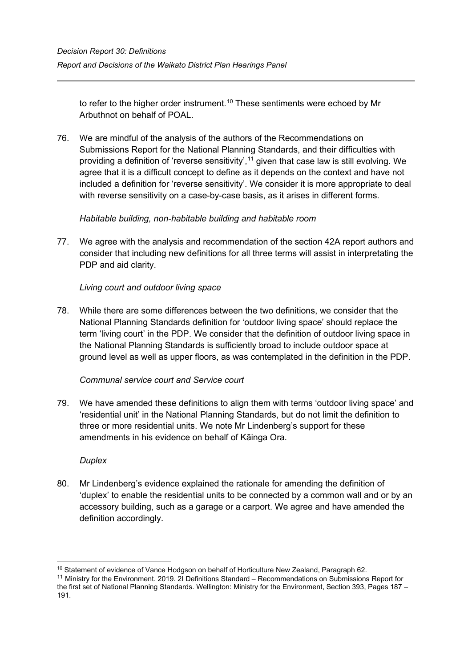to refer to the higher order instrument. $^{\mathsf{10}}$  $^{\mathsf{10}}$  $^{\mathsf{10}}$  These sentiments were echoed by Mr Arbuthnot on behalf of POAL.

76. We are mindful of the analysis of the authors of the Recommendations on Submissions Report for the National Planning Standards, and their difficulties with providing a definition of 'reverse sensitivity',<sup>[11](#page-16-1)</sup> given that case law is still evolving. We agree that it is a difficult concept to define as it depends on the context and have not included a definition for 'reverse sensitivity'. We consider it is more appropriate to deal with reverse sensitivity on a case-by-case basis, as it arises in different forms.

# *Habitable building, non-habitable building and habitable room*

77. We agree with the analysis and recommendation of the section 42A report authors and consider that including new definitions for all three terms will assist in interpretating the PDP and aid clarity.

# *Living court and outdoor living space*

78. While there are some differences between the two definitions, we consider that the National Planning Standards definition for 'outdoor living space' should replace the term 'living court' in the PDP. We consider that the definition of outdoor living space in the National Planning Standards is sufficiently broad to include outdoor space at ground level as well as upper floors, as was contemplated in the definition in the PDP.

## *Communal service court and Service court*

79. We have amended these definitions to align them with terms 'outdoor living space' and 'residential unit' in the National Planning Standards, but do not limit the definition to three or more residential units. We note Mr Lindenberg's support for these amendments in his evidence on behalf of Kāinga Ora.

## *Duplex*

80. Mr Lindenberg's evidence explained the rationale for amending the definition of 'duplex' to enable the residential units to be connected by a common wall and or by an accessory building, such as a garage or a carport. We agree and have amended the definition accordingly.

<sup>&</sup>lt;sup>10</sup> Statement of evidence of Vance Hodgson on behalf of Horticulture New Zealand, Paragraph 62.

<span id="page-16-1"></span><span id="page-16-0"></span><sup>11</sup> Ministry for the Environment. 2019. 2I Definitions Standard – Recommendations on Submissions Report for the first set of National Planning Standards. Wellington: Ministry for the Environment, Section 393, Pages 187 – 191.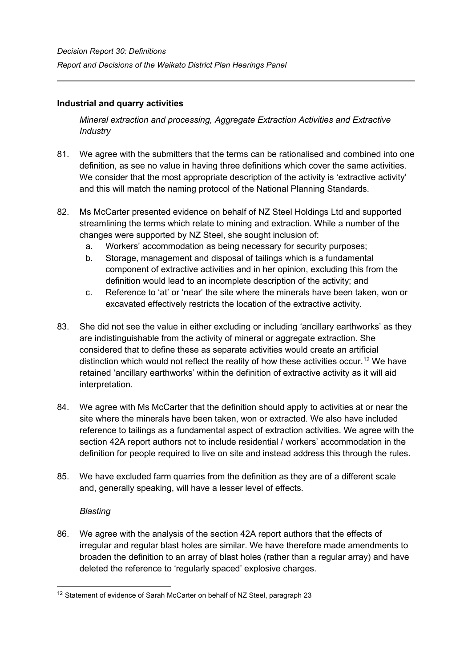# <span id="page-17-0"></span>**Industrial and quarry activities**

*Mineral extraction and processing, Aggregate Extraction Activities and Extractive Industry*

- 81. We agree with the submitters that the terms can be rationalised and combined into one definition, as see no value in having three definitions which cover the same activities. We consider that the most appropriate description of the activity is 'extractive activity' and this will match the naming protocol of the National Planning Standards.
- 82. Ms McCarter presented evidence on behalf of NZ Steel Holdings Ltd and supported streamlining the terms which relate to mining and extraction. While a number of the changes were supported by NZ Steel, she sought inclusion of:
	- a. Workers' accommodation as being necessary for security purposes;
	- b. Storage, management and disposal of tailings which is a fundamental component of extractive activities and in her opinion, excluding this from the definition would lead to an incomplete description of the activity; and
	- c. Reference to 'at' or 'near' the site where the minerals have been taken, won or excavated effectively restricts the location of the extractive activity.
- 83. She did not see the value in either excluding or including 'ancillary earthworks' as they are indistinguishable from the activity of mineral or aggregate extraction. She considered that to define these as separate activities would create an artificial distinction which would not reflect the reality of how these activities occur. [12](#page-17-1) We have retained 'ancillary earthworks' within the definition of extractive activity as it will aid interpretation.
- 84. We agree with Ms McCarter that the definition should apply to activities at or near the site where the minerals have been taken, won or extracted. We also have included reference to tailings as a fundamental aspect of extraction activities. We agree with the section 42A report authors not to include residential / workers' accommodation in the definition for people required to live on site and instead address this through the rules.
- 85. We have excluded farm quarries from the definition as they are of a different scale and, generally speaking, will have a lesser level of effects.

## *Blasting*

86. We agree with the analysis of the section 42A report authors that the effects of irregular and regular blast holes are similar. We have therefore made amendments to broaden the definition to an array of blast holes (rather than a regular array) and have deleted the reference to 'regularly spaced' explosive charges.

<span id="page-17-1"></span><sup>&</sup>lt;sup>12</sup> Statement of evidence of Sarah McCarter on behalf of NZ Steel, paragraph 23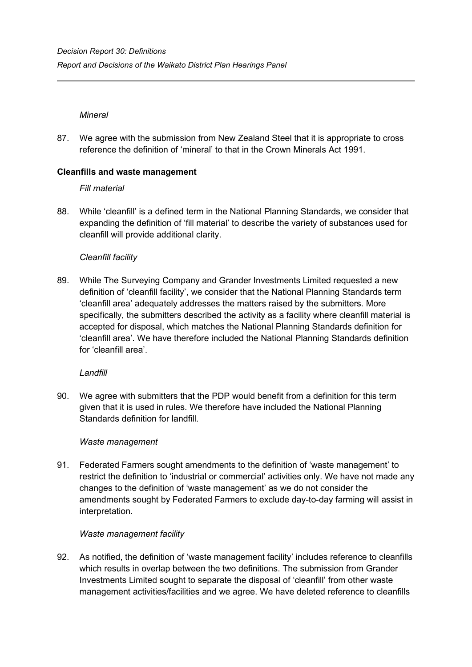## *Mineral*

87. We agree with the submission from New Zealand Steel that it is appropriate to cross reference the definition of 'mineral' to that in the Crown Minerals Act 1991.

# <span id="page-18-0"></span>**Cleanfills and waste management**

*Fill material*

88. While 'cleanfill' is a defined term in the National Planning Standards, we consider that expanding the definition of 'fill material' to describe the variety of substances used for cleanfill will provide additional clarity.

# *Cleanfill facility*

89. While The Surveying Company and Grander Investments Limited requested a new definition of 'cleanfill facility', we consider that the National Planning Standards term 'cleanfill area' adequately addresses the matters raised by the submitters. More specifically, the submitters described the activity as a facility where cleanfill material is accepted for disposal, which matches the National Planning Standards definition for 'cleanfill area'. We have therefore included the National Planning Standards definition for 'cleanfill area'.

## *Landfill*

90. We agree with submitters that the PDP would benefit from a definition for this term given that it is used in rules. We therefore have included the National Planning Standards definition for landfill.

## *Waste management*

91. Federated Farmers sought amendments to the definition of 'waste management' to restrict the definition to 'industrial or commercial' activities only. We have not made any changes to the definition of 'waste management' as we do not consider the amendments sought by Federated Farmers to exclude day-to-day farming will assist in interpretation.

## *Waste management facility*

92. As notified, the definition of 'waste management facility' includes reference to cleanfills which results in overlap between the two definitions. The submission from Grander Investments Limited sought to separate the disposal of 'cleanfill' from other waste management activities/facilities and we agree. We have deleted reference to cleanfills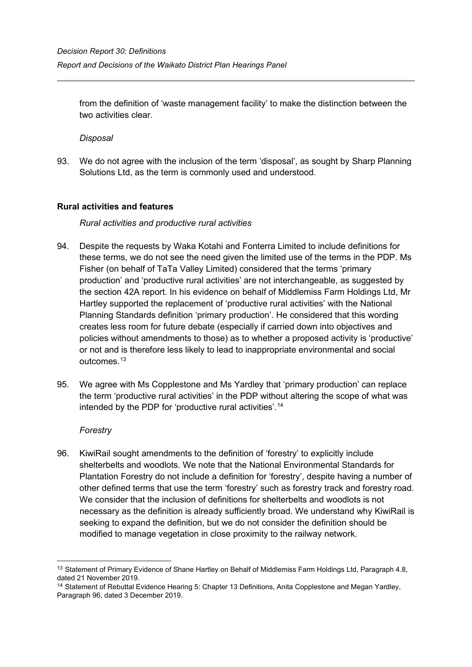from the definition of 'waste management facility' to make the distinction between the two activities clear.

*Disposal* 

93. We do not agree with the inclusion of the term 'disposal', as sought by Sharp Planning Solutions Ltd, as the term is commonly used and understood.

# <span id="page-19-0"></span>**Rural activities and features**

## *Rural activities and productive rural activities*

- 94. Despite the requests by Waka Kotahi and Fonterra Limited to include definitions for these terms, we do not see the need given the limited use of the terms in the PDP. Ms Fisher (on behalf of TaTa Valley Limited) considered that the terms 'primary production' and 'productive rural activities' are not interchangeable, as suggested by the section 42A report. In his evidence on behalf of Middlemiss Farm Holdings Ltd, Mr Hartley supported the replacement of 'productive rural activities' with the National Planning Standards definition 'primary production'. He considered that this wording creates less room for future debate (especially if carried down into objectives and policies without amendments to those) as to whether a proposed activity is 'productive' or not and is therefore less likely to lead to inappropriate environmental and social outcomes.<sup>[13](#page-19-1)</sup>
- 95. We agree with Ms Copplestone and Ms Yardley that 'primary production' can replace the term 'productive rural activities' in the PDP without altering the scope of what was intended by the PDP for 'productive rural activities'. [14](#page-19-2)

## *Forestry*

96. KiwiRail sought amendments to the definition of 'forestry' to explicitly include shelterbelts and woodlots. We note that the National Environmental Standards for Plantation Forestry do not include a definition for 'forestry', despite having a number of other defined terms that use the term 'forestry' such as forestry track and forestry road. We consider that the inclusion of definitions for shelterbelts and woodlots is not necessary as the definition is already sufficiently broad. We understand why KiwiRail is seeking to expand the definition, but we do not consider the definition should be modified to manage vegetation in close proximity to the railway network.

<span id="page-19-1"></span><sup>&</sup>lt;sup>13</sup> Statement of Primary Evidence of Shane Hartley on Behalf of Middlemiss Farm Holdings Ltd, Paragraph 4.8, dated 21 November 2019.

<span id="page-19-2"></span><sup>&</sup>lt;sup>14</sup> Statement of Rebuttal Evidence Hearing 5: Chapter 13 Definitions, Anita Copplestone and Megan Yardley, Paragraph 96, dated 3 December 2019.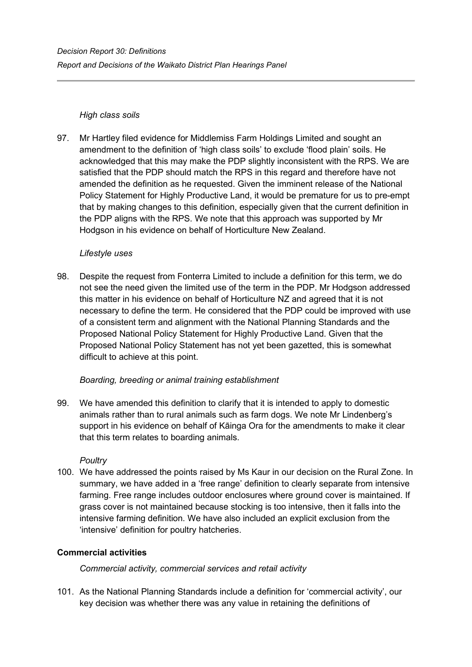# *High class soils*

97. Mr Hartley filed evidence for Middlemiss Farm Holdings Limited and sought an amendment to the definition of 'high class soils' to exclude 'flood plain' soils. He acknowledged that this may make the PDP slightly inconsistent with the RPS. We are satisfied that the PDP should match the RPS in this regard and therefore have not amended the definition as he requested. Given the imminent release of the National Policy Statement for Highly Productive Land, it would be premature for us to pre-empt that by making changes to this definition, especially given that the current definition in the PDP aligns with the RPS. We note that this approach was supported by Mr Hodgson in his evidence on behalf of Horticulture New Zealand.

# *Lifestyle uses*

98. Despite the request from Fonterra Limited to include a definition for this term, we do not see the need given the limited use of the term in the PDP. Mr Hodgson addressed this matter in his evidence on behalf of Horticulture NZ and agreed that it is not necessary to define the term. He considered that the PDP could be improved with use of a consistent term and alignment with the National Planning Standards and the Proposed National Policy Statement for Highly Productive Land. Given that the Proposed National Policy Statement has not yet been gazetted, this is somewhat difficult to achieve at this point.

# *Boarding, breeding or animal training establishment*

99. We have amended this definition to clarify that it is intended to apply to domestic animals rather than to rural animals such as farm dogs. We note Mr Lindenberg's support in his evidence on behalf of Kāinga Ora for the amendments to make it clear that this term relates to boarding animals.

## *Poultry*

100. We have addressed the points raised by Ms Kaur in our decision on the Rural Zone. In summary, we have added in a 'free range' definition to clearly separate from intensive farming. Free range includes outdoor enclosures where ground cover is maintained. If grass cover is not maintained because stocking is too intensive, then it falls into the intensive farming definition. We have also included an explicit exclusion from the 'intensive' definition for poultry hatcheries.

# <span id="page-20-0"></span>**Commercial activities**

*Commercial activity, commercial services and retail activity* 

101. As the National Planning Standards include a definition for 'commercial activity', our key decision was whether there was any value in retaining the definitions of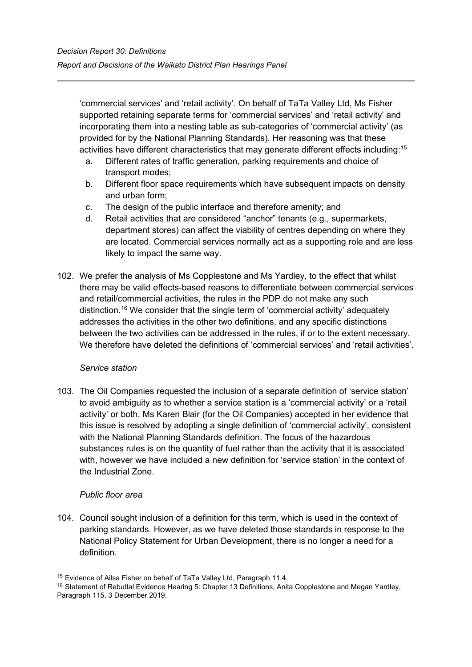'commercial services' and 'retail activity'. On behalf of TaTa Valley Ltd, Ms Fisher supported retaining separate terms for 'commercial services' and 'retail activity' and incorporating them into a nesting table as sub-categories of 'commercial activity' (as provided for by the National Planning Standards). Her reasoning was that these activities have different characteristics that may generate different effects including:<sup>[15](#page-21-0)</sup>

- a. Different rates of traffic generation, parking requirements and choice of transport modes;
- b. Different floor space requirements which have subsequent impacts on density and urban form;
- c. The design of the public interface and therefore amenity; and
- d. Retail activities that are considered "anchor" tenants (e.g., supermarkets, department stores) can affect the viability of centres depending on where they are located. Commercial services normally act as a supporting role and are less likely to impact the same way.
- 102. We prefer the analysis of Ms Copplestone and Ms Yardley, to the effect that whilst there may be valid effects-based reasons to differentiate between commercial services and retail/commercial activities, the rules in the PDP do not make any such distinction. [16](#page-21-1) We consider that the single term of 'commercial activity' adequately addresses the activities in the other two definitions, and any specific distinctions between the two activities can be addressed in the rules, if or to the extent necessary. We therefore have deleted the definitions of 'commercial services' and 'retail activities'.

# *Service station*

103. The Oil Companies requested the inclusion of a separate definition of 'service station' to avoid ambiguity as to whether a service station is a 'commercial activity' or a 'retail activity' or both. Ms Karen Blair (for the Oil Companies) accepted in her evidence that this issue is resolved by adopting a single definition of 'commercial activity', consistent with the National Planning Standards definition. The focus of the hazardous substances rules is on the quantity of fuel rather than the activity that it is associated with, however we have included a new definition for 'service station' in the context of the Industrial Zone.

# *Public floor area*

104. Council sought inclusion of a definition for this term, which is used in the context of parking standards. However, as we have deleted those standards in response to the National Policy Statement for Urban Development, there is no longer a need for a definition.

<span id="page-21-0"></span><sup>15</sup> Evidence of Ailsa Fisher on behalf of TaTa Valley Ltd, Paragraph 11.4.

<span id="page-21-1"></span><sup>&</sup>lt;sup>16</sup> Statement of Rebuttal Evidence Hearing 5: Chapter 13 Definitions, Anita Copplestone and Megan Yardley, Paragraph 115, 3 December 2019.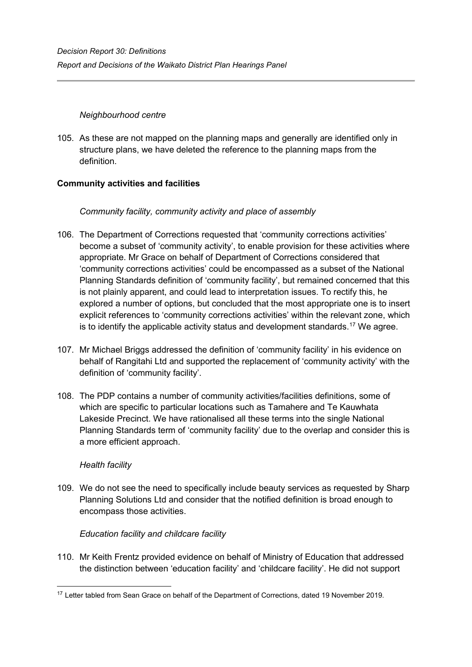# *Neighbourhood centre*

105. As these are not mapped on the planning maps and generally are identified only in structure plans, we have deleted the reference to the planning maps from the definition.

# <span id="page-22-0"></span>**Community activities and facilities**

# *Community facility, community activity and place of assembly*

- 106. The Department of Corrections requested that 'community corrections activities' become a subset of 'community activity', to enable provision for these activities where appropriate. Mr Grace on behalf of Department of Corrections considered that 'community corrections activities' could be encompassed as a subset of the National Planning Standards definition of 'community facility', but remained concerned that this is not plainly apparent, and could lead to interpretation issues. To rectify this, he explored a number of options, but concluded that the most appropriate one is to insert explicit references to 'community corrections activities' within the relevant zone, which is to identify the applicable activity status and development standards. [17](#page-22-1) We agree.
- 107. Mr Michael Briggs addressed the definition of 'community facility' in his evidence on behalf of Rangitahi Ltd and supported the replacement of 'community activity' with the definition of 'community facility'.
- 108. The PDP contains a number of community activities/facilities definitions, some of which are specific to particular locations such as Tamahere and Te Kauwhata Lakeside Precinct. We have rationalised all these terms into the single National Planning Standards term of 'community facility' due to the overlap and consider this is a more efficient approach.

## *Health facility*

109. We do not see the need to specifically include beauty services as requested by Sharp Planning Solutions Ltd and consider that the notified definition is broad enough to encompass those activities.

## *Education facility and childcare facility*

110. Mr Keith Frentz provided evidence on behalf of Ministry of Education that addressed the distinction between 'education facility' and 'childcare facility'. He did not support

<span id="page-22-1"></span><sup>&</sup>lt;sup>17</sup> Letter tabled from Sean Grace on behalf of the Department of Corrections, dated 19 November 2019.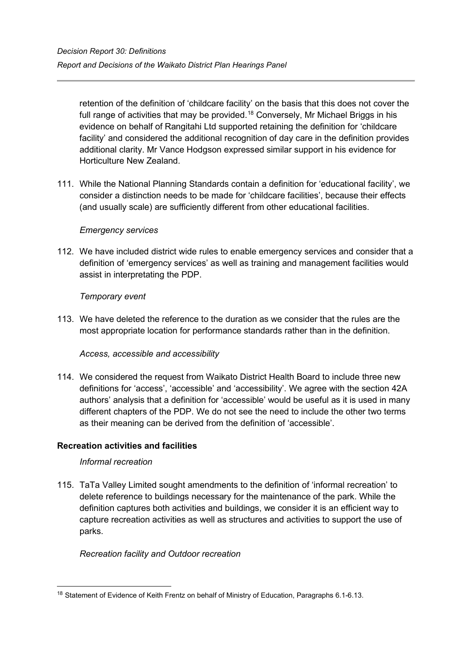retention of the definition of 'childcare facility' on the basis that this does not cover the full range of activities that may be provided.<sup>[18](#page-23-1)</sup> Conversely, Mr Michael Briggs in his evidence on behalf of Rangitahi Ltd supported retaining the definition for 'childcare facility' and considered the additional recognition of day care in the definition provides additional clarity. Mr Vance Hodgson expressed similar support in his evidence for Horticulture New Zealand.

111. While the National Planning Standards contain a definition for 'educational facility', we consider a distinction needs to be made for 'childcare facilities', because their effects (and usually scale) are sufficiently different from other educational facilities.

## *Emergency services*

112. We have included district wide rules to enable emergency services and consider that a definition of 'emergency services' as well as training and management facilities would assist in interpretating the PDP.

# *Temporary event*

113. We have deleted the reference to the duration as we consider that the rules are the most appropriate location for performance standards rather than in the definition.

## *Access, accessible and accessibility*

114. We considered the request from Waikato District Health Board to include three new definitions for 'access', 'accessible' and 'accessibility'. We agree with the section 42A authors' analysis that a definition for 'accessible' would be useful as it is used in many different chapters of the PDP. We do not see the need to include the other two terms as their meaning can be derived from the definition of 'accessible'.

## <span id="page-23-0"></span>**Recreation activities and facilities**

## *Informal recreation*

115. TaTa Valley Limited sought amendments to the definition of 'informal recreation' to delete reference to buildings necessary for the maintenance of the park. While the definition captures both activities and buildings, we consider it is an efficient way to capture recreation activities as well as structures and activities to support the use of parks.

## *Recreation facility and Outdoor recreation*

<span id="page-23-1"></span><sup>&</sup>lt;sup>18</sup> Statement of Evidence of Keith Frentz on behalf of Ministry of Education, Paragraphs 6.1-6.13.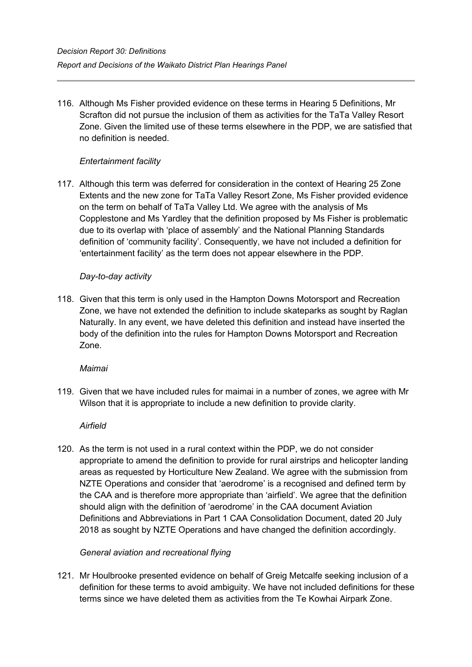116. Although Ms Fisher provided evidence on these terms in Hearing 5 Definitions, Mr Scrafton did not pursue the inclusion of them as activities for the TaTa Valley Resort Zone. Given the limited use of these terms elsewhere in the PDP, we are satisfied that no definition is needed.

# *Entertainment facility*

117. Although this term was deferred for consideration in the context of Hearing 25 Zone Extents and the new zone for TaTa Valley Resort Zone, Ms Fisher provided evidence on the term on behalf of TaTa Valley Ltd. We agree with the analysis of Ms Copplestone and Ms Yardley that the definition proposed by Ms Fisher is problematic due to its overlap with 'place of assembly' and the National Planning Standards definition of 'community facility'. Consequently, we have not included a definition for 'entertainment facility' as the term does not appear elsewhere in the PDP.

## *Day-to-day activity*

118. Given that this term is only used in the Hampton Downs Motorsport and Recreation Zone, we have not extended the definition to include skateparks as sought by Raglan Naturally. In any event, we have deleted this definition and instead have inserted the body of the definition into the rules for Hampton Downs Motorsport and Recreation Zone.

#### *Maimai*

119. Given that we have included rules for maimai in a number of zones, we agree with Mr Wilson that it is appropriate to include a new definition to provide clarity.

## *Airfield*

120. As the term is not used in a rural context within the PDP, we do not consider appropriate to amend the definition to provide for rural airstrips and helicopter landing areas as requested by Horticulture New Zealand. We agree with the submission from NZTE Operations and consider that 'aerodrome' is a recognised and defined term by the CAA and is therefore more appropriate than 'airfield'. We agree that the definition should align with the definition of 'aerodrome' in the CAA document Aviation Definitions and Abbreviations in Part 1 CAA Consolidation Document, dated 20 July 2018 as sought by NZTE Operations and have changed the definition accordingly.

## *General aviation and recreational flying*

121. Mr Houlbrooke presented evidence on behalf of Greig Metcalfe seeking inclusion of a definition for these terms to avoid ambiguity. We have not included definitions for these terms since we have deleted them as activities from the Te Kowhai Airpark Zone.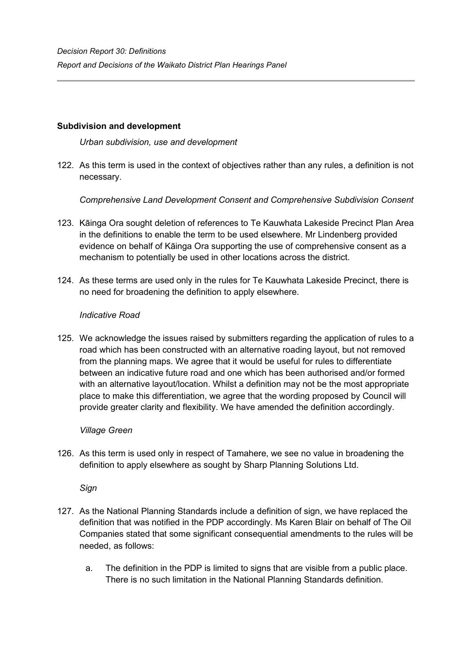## <span id="page-25-0"></span>**Subdivision and development**

*Urban subdivision, use and development*

122. As this term is used in the context of objectives rather than any rules, a definition is not necessary.

*Comprehensive Land Development Consent and Comprehensive Subdivision Consent* 

- 123. Kāinga Ora sought deletion of references to Te Kauwhata Lakeside Precinct Plan Area in the definitions to enable the term to be used elsewhere. Mr Lindenberg provided evidence on behalf of Kāinga Ora supporting the use of comprehensive consent as a mechanism to potentially be used in other locations across the district.
- 124. As these terms are used only in the rules for Te Kauwhata Lakeside Precinct, there is no need for broadening the definition to apply elsewhere.

# *Indicative Road*

125. We acknowledge the issues raised by submitters regarding the application of rules to a road which has been constructed with an alternative roading layout, but not removed from the planning maps. We agree that it would be useful for rules to differentiate between an indicative future road and one which has been authorised and/or formed with an alternative layout/location. Whilst a definition may not be the most appropriate place to make this differentiation, we agree that the wording proposed by Council will provide greater clarity and flexibility. We have amended the definition accordingly.

## *Village Green*

126. As this term is used only in respect of Tamahere, we see no value in broadening the definition to apply elsewhere as sought by Sharp Planning Solutions Ltd.

*Sign*

- 127. As the National Planning Standards include a definition of sign, we have replaced the definition that was notified in the PDP accordingly. Ms Karen Blair on behalf of The Oil Companies stated that some significant consequential amendments to the rules will be needed, as follows:
	- a. The definition in the PDP is limited to signs that are visible from a public place. There is no such limitation in the National Planning Standards definition.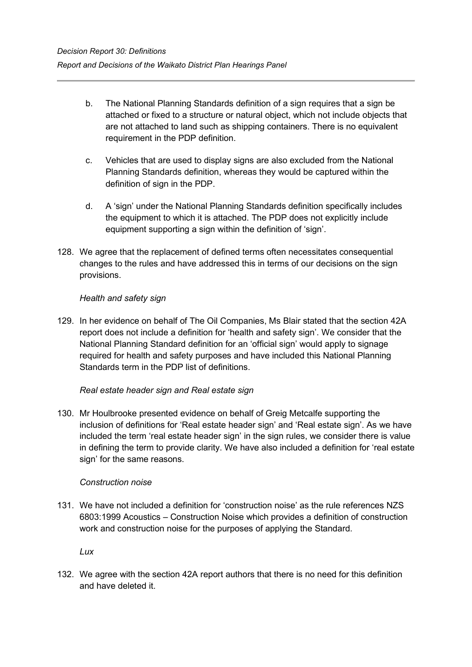- b. The National Planning Standards definition of a sign requires that a sign be attached or fixed to a structure or natural object, which not include objects that are not attached to land such as shipping containers. There is no equivalent requirement in the PDP definition.
- c. Vehicles that are used to display signs are also excluded from the National Planning Standards definition, whereas they would be captured within the definition of sign in the PDP.
- d. A 'sign' under the National Planning Standards definition specifically includes the equipment to which it is attached. The PDP does not explicitly include equipment supporting a sign within the definition of 'sign'.
- 128. We agree that the replacement of defined terms often necessitates consequential changes to the rules and have addressed this in terms of our decisions on the sign provisions.

# *Health and safety sign*

129. In her evidence on behalf of The Oil Companies, Ms Blair stated that the section 42A report does not include a definition for 'health and safety sign'. We consider that the National Planning Standard definition for an 'official sign' would apply to signage required for health and safety purposes and have included this National Planning Standards term in the PDP list of definitions.

## *Real estate header sign and Real estate sign*

130. Mr Houlbrooke presented evidence on behalf of Greig Metcalfe supporting the inclusion of definitions for 'Real estate header sign' and 'Real estate sign'. As we have included the term 'real estate header sign' in the sign rules, we consider there is value in defining the term to provide clarity. We have also included a definition for 'real estate sign' for the same reasons.

## *Construction noise*

131. We have not included a definition for 'construction noise' as the rule references NZS 6803:1999 Acoustics – Construction Noise which provides a definition of construction work and construction noise for the purposes of applying the Standard.

*Lux* 

132. We agree with the section 42A report authors that there is no need for this definition and have deleted it.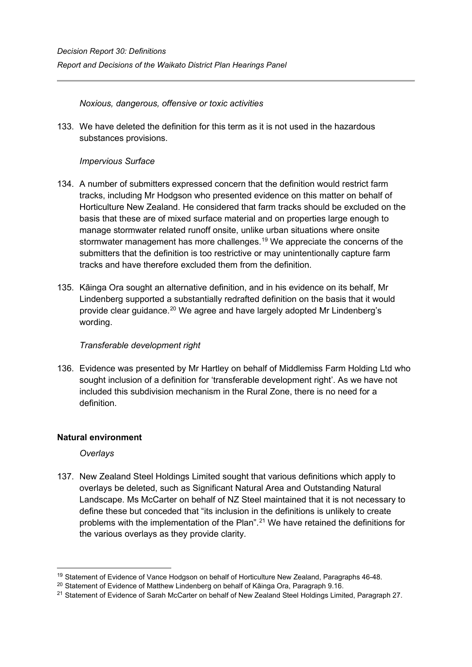*Noxious, dangerous, offensive or toxic activities* 

133. We have deleted the definition for this term as it is not used in the hazardous substances provisions.

# *Impervious Surface*

- 134. A number of submitters expressed concern that the definition would restrict farm tracks, including Mr Hodgson who presented evidence on this matter on behalf of Horticulture New Zealand. He considered that farm tracks should be excluded on the basis that these are of mixed surface material and on properties large enough to manage stormwater related runoff onsite, unlike urban situations where onsite stormwater management has more challenges.<sup>[19](#page-27-1)</sup> We appreciate the concerns of the submitters that the definition is too restrictive or may unintentionally capture farm tracks and have therefore excluded them from the definition.
- 135. Kāinga Ora sought an alternative definition, and in his evidence on its behalf, Mr Lindenberg supported a substantially redrafted definition on the basis that it would provide clear guidance.<sup>[20](#page-27-2)</sup> We agree and have largely adopted Mr Lindenberg's wording.

## *Transferable development right*

136. Evidence was presented by Mr Hartley on behalf of Middlemiss Farm Holding Ltd who sought inclusion of a definition for 'transferable development right'. As we have not included this subdivision mechanism in the Rural Zone, there is no need for a definition.

# <span id="page-27-0"></span>**Natural environment**

# *Overlays*

137. New Zealand Steel Holdings Limited sought that various definitions which apply to overlays be deleted, such as Significant Natural Area and Outstanding Natural Landscape. Ms McCarter on behalf of NZ Steel maintained that it is not necessary to define these but conceded that "its inclusion in the definitions is unlikely to create problems with the implementation of the Plan".[21](#page-27-3) We have retained the definitions for the various overlays as they provide clarity.

<span id="page-27-1"></span><sup>&</sup>lt;sup>19</sup> Statement of Evidence of Vance Hodgson on behalf of Horticulture New Zealand, Paragraphs 46-48.

<span id="page-27-2"></span><sup>&</sup>lt;sup>20</sup> Statement of Evidence of Matthew Lindenberg on behalf of Kāinga Ora, Paragraph 9.16.

<span id="page-27-3"></span><sup>&</sup>lt;sup>21</sup> Statement of Evidence of Sarah McCarter on behalf of New Zealand Steel Holdings Limited, Paragraph 27.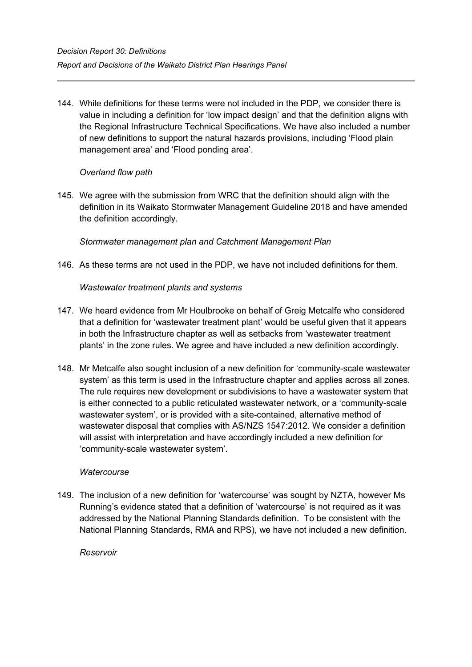144. While definitions for these terms were not included in the PDP, we consider there is value in including a definition for 'low impact design' and that the definition aligns with the Regional Infrastructure Technical Specifications. We have also included a number of new definitions to support the natural hazards provisions, including 'Flood plain management area' and 'Flood ponding area'.

# *Overland flow path*

145. We agree with the submission from WRC that the definition should align with the definition in its Waikato Stormwater Management Guideline 2018 and have amended the definition accordingly.

# *Stormwater management plan and Catchment Management Plan*

146. As these terms are not used in the PDP, we have not included definitions for them.

*Wastewater treatment plants and systems*

- 147. We heard evidence from Mr Houlbrooke on behalf of Greig Metcalfe who considered that a definition for 'wastewater treatment plant' would be useful given that it appears in both the Infrastructure chapter as well as setbacks from 'wastewater treatment plants' in the zone rules. We agree and have included a new definition accordingly.
- 148. Mr Metcalfe also sought inclusion of a new definition for 'community-scale wastewater system' as this term is used in the Infrastructure chapter and applies across all zones. The rule requires new development or subdivisions to have a wastewater system that is either connected to a public reticulated wastewater network, or a 'community-scale wastewater system', or is provided with a site-contained, alternative method of wastewater disposal that complies with AS/NZS 1547:2012. We consider a definition will assist with interpretation and have accordingly included a new definition for 'community-scale wastewater system'.

## *Watercourse*

149. The inclusion of a new definition for 'watercourse' was sought by NZTA, however Ms Running's evidence stated that a definition of 'watercourse' is not required as it was addressed by the National Planning Standards definition. To be consistent with the National Planning Standards, RMA and RPS), we have not included a new definition.

## *Reservoir*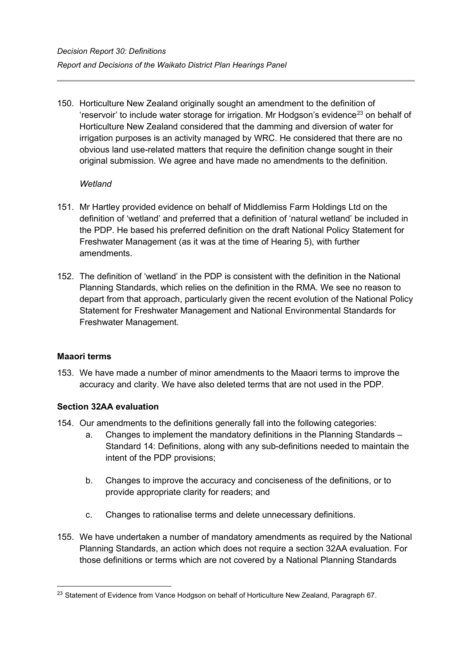150. Horticulture New Zealand originally sought an amendment to the definition of 'reservoir' to include water storage for irrigation. Mr Hodgson's evidence<sup>23</sup> on behalf of Horticulture New Zealand considered that the damming and diversion of water for irrigation purposes is an activity managed by WRC. He considered that there are no obvious land use-related matters that require the definition change sought in their original submission. We agree and have made no amendments to the definition.

## *Wetland*

- 151. Mr Hartley provided evidence on behalf of Middlemiss Farm Holdings Ltd on the definition of 'wetland' and preferred that a definition of 'natural wetland' be included in the PDP. He based his preferred definition on the draft National Policy Statement for Freshwater Management (as it was at the time of Hearing 5), with further amendments.
- 152. The definition of 'wetland' in the PDP is consistent with the definition in the National Planning Standards, which relies on the definition in the RMA. We see no reason to depart from that approach, particularly given the recent evolution of the National Policy Statement for Freshwater Management and National Environmental Standards for Freshwater Management.

# <span id="page-30-0"></span>**Maaori terms**

153. We have made a number of minor amendments to the Maaori terms to improve the accuracy and clarity. We have also deleted terms that are not used in the PDP.

# **Section 32AA evaluation**

- 154. Our amendments to the definitions generally fall into the following categories:
	- a. Changes to implement the mandatory definitions in the Planning Standards Standard 14: Definitions, along with any sub-definitions needed to maintain the intent of the PDP provisions;
	- b. Changes to improve the accuracy and conciseness of the definitions, or to provide appropriate clarity for readers; and
	- c. Changes to rationalise terms and delete unnecessary definitions.
- 155. We have undertaken a number of mandatory amendments as required by the National Planning Standards, an action which does not require a section 32AA evaluation. For those definitions or terms which are not covered by a National Planning Standards

<span id="page-30-1"></span><sup>&</sup>lt;sup>23</sup> Statement of Evidence from Vance Hodgson on behalf of Horticulture New Zealand, Paragraph 67.